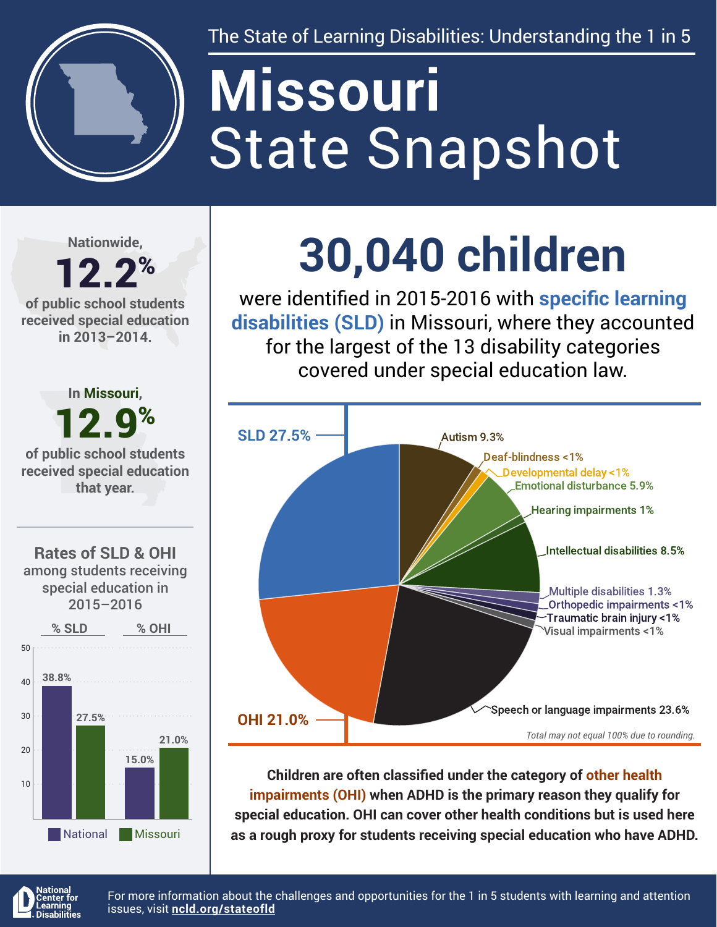

The State of Learning Disabilities: Understanding the 1 in 5

# State Snapshot **Missouri**

**Nationwide,**

#### 12.2% **of public school students received special education in 2013–2014.**



## **30,040 children**

were identified in 2015-2016 with **specific learning disabilities (SLD)** in Missouri, where they accounted for the largest of the 13 disability categories covered under special education law.



**Children are often classified under the category of other health impairments (OHI) when ADHD is the primary reason they qualify for special education. OHI can cover other health conditions but is used here as a rough proxy for students receiving special education who have ADHD.**



For more information about the challenges and opportunities for the 1 in 5 students with learning and attention issues, visit **[ncld.org/stateofld](http://ncld.org/stateofld)**